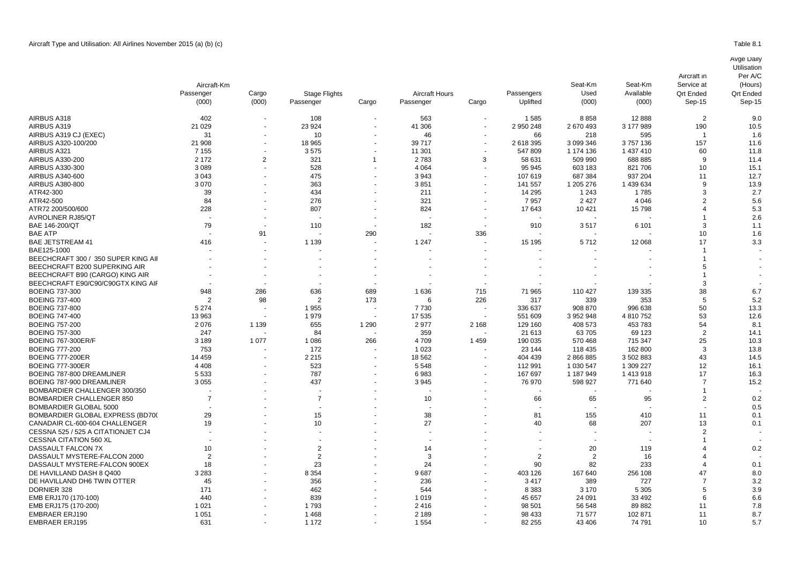|                                         | Aircraft-Km    |                |                      |                          |                       |                          |                        | Seat-Km<br>Used<br>(000) | Seat-Km<br>Available<br>(000) | Service at<br><b>Qrt Ended</b><br>Sep-15 | (Hours)<br><b>Qrt Ended</b><br>Sep-15 |
|-----------------------------------------|----------------|----------------|----------------------|--------------------------|-----------------------|--------------------------|------------------------|--------------------------|-------------------------------|------------------------------------------|---------------------------------------|
|                                         | Passenger      | Cargo          | <b>Stage Flights</b> |                          | <b>Aircraft Hours</b> | Cargo                    | Passengers<br>Uplifted |                          |                               |                                          |                                       |
|                                         | (000)          | (000)          | Passenger            | Cargo                    | Passenger             |                          |                        |                          |                               |                                          |                                       |
| AIRBUS A318                             | 402            |                | 108                  |                          | 563                   |                          | 1585                   | 8858                     | 12888                         | 2                                        | 9.0                                   |
| AIRBUS A319                             | 21 0 29        |                | 23 9 24              |                          | 41 30 6               |                          | 2 950 248              | 2670493                  | 3 177 989                     | 190                                      | 10.5                                  |
| AIRBUS A319 CJ (EXEC)                   | 31             |                | 10                   |                          | 46                    |                          | 66                     | 218                      | 595                           | -1                                       | 1.6                                   |
| AIRBUS A320-100/200                     | 21 908         |                | 18 9 65              |                          | 39 717                |                          | 2 618 395              | 3 099 346                | 3757136                       | 157                                      | 11.6                                  |
| AIRBUS A321                             | 7 1 5 5        |                | 3575                 |                          | 11 301                |                          | 547 809                | 1 174 136                | 1 437 410                     | 60                                       | 11.8                                  |
| AIRBUS A330-200                         | 2 1 7 2        | $\overline{2}$ | 321                  | $\overline{1}$           | 2783                  | 3                        | 58 631                 | 509 990                  | 688 885                       | 9                                        | 11.4                                  |
| AIRBUS A330-300                         | 3 0 8 9        |                | 528                  |                          | 4 0 6 4               |                          | 95 945                 | 603 183                  | 821 706                       | 10                                       | 15.1                                  |
| AIRBUS A340-600                         | 3 0 4 3        |                | 475                  |                          | 3943                  |                          | 107 619                | 687 384                  | 937 204                       | 11                                       | 12.7                                  |
| AIRBUS A380-800                         | 3 0 7 0        |                | 363                  |                          | 3851                  |                          | 141 557                | 1 205 276                | 1 439 634                     | q                                        | 13.9                                  |
| ATR42-300                               | 39             |                | 434                  |                          | 211                   |                          | 14 295                 | 1 2 4 3                  | 1785                          |                                          | 2.7                                   |
| ATR42-500                               | 84             |                | 276                  |                          | 321                   | $\blacksquare$           | 7957                   | 2 4 2 7                  | 4 0 4 6                       |                                          | 5.6                                   |
| ATR72 200/500/600                       | 228            |                | 807                  |                          | 824                   |                          | 17 643                 | 10 4 21                  | 15798                         |                                          | 5.3                                   |
| <b>AVROLINER RJ85/QT</b>                |                |                |                      |                          |                       |                          |                        |                          |                               |                                          | 2.6                                   |
| BAE 146-200/QT                          | 79             |                | 110                  | $\sim$                   | 182                   |                          | 910                    | 3517                     | 6 1 0 1                       |                                          | 1.1                                   |
| BAE ATP                                 |                | 91             |                      | 290                      |                       | 336                      |                        |                          |                               | 10                                       | 1.6                                   |
| <b>BAE JETSTREAM 41</b>                 | 416            |                | 1 1 3 9              |                          | 1 2 4 7               |                          | 15 195                 | 5712                     | 12 068                        | 17                                       | 3.3                                   |
| BAE125-1000                             |                |                |                      |                          |                       |                          |                        |                          |                               |                                          |                                       |
| BEECHCRAFT 300 / 350 SUPER KING AII     |                |                |                      |                          |                       |                          |                        |                          |                               |                                          |                                       |
| BEECHCRAFT B200 SUPERKING AIR           |                |                |                      |                          |                       |                          |                        |                          |                               |                                          |                                       |
| BEECHCRAFT B90 (CARGO) KING AIR         |                |                |                      |                          |                       |                          |                        |                          |                               |                                          |                                       |
|                                         |                |                |                      | $\overline{a}$           |                       |                          |                        |                          |                               |                                          |                                       |
| BEECHCRAFT E90/C90/C90GTX KING AII      |                |                |                      |                          |                       |                          |                        |                          |                               |                                          |                                       |
| <b>BOEING 737-300</b>                   | 948            | 286            | 636                  | 689                      | 1636                  | 715                      | 71 965                 | 110 427                  | 139 335                       | 38                                       | 6.7                                   |
| <b>BOEING 737-400</b>                   | $\overline{2}$ | 98             | $\overline{2}$       | 173                      | 6                     | 226                      | 317                    | 339                      | 353                           | 5                                        | 5.2                                   |
| BOEING 737-800                          | 5 2 7 4        |                | 1955                 | $\overline{\phantom{a}}$ | 7730                  |                          | 336 637                | 908 870                  | 996 638                       | 50                                       | 13.3                                  |
| <b>BOEING 747-400</b>                   | 13 963         |                | 1979                 |                          | 17 535                |                          | 551 609                | 3 952 948                | 4 810 752                     | 53                                       | 12.6                                  |
| BOEING 757-200                          | 2076           | 1 1 3 9        | 655                  | 1 2 9 0                  | 2977                  | 2 1 6 8                  | 129 160                | 408 573                  | 453 783                       | 54                                       | 8.1                                   |
| BOEING 757-300                          | 247            |                | 84                   |                          | 359                   |                          | 21 613                 | 63705                    | 69 123                        | $\overline{2}$                           | 14.1                                  |
| BOEING 767-300ER/F                      | 3 1 8 9        | 1 0 7 7        | 1 0 8 6              | 266                      | 4709                  | 1 4 5 9                  | 190 035                | 570 468                  | 715 347                       | 25                                       | 10.3                                  |
| <b>BOEING 777-200</b>                   | 753            |                | 172                  |                          | 1 0 2 3               |                          | 23 144                 | 118 435                  | 162 800                       | 3                                        | 13.8                                  |
| <b>BOEING 777-200ER</b>                 | 14 4 5 9       |                | 2 2 1 5              | $\overline{\phantom{a}}$ | 18 5 62               | $\overline{\phantom{a}}$ | 404 439                | 2 866 885                | 3 502 883                     | 43                                       | 14.5                                  |
| BOEING 777-300ER                        | 4 4 0 8        |                | 523                  |                          | 5 5 4 8               |                          | 112 991                | 1 030 547                | 1 309 227                     | 12                                       | 16.1                                  |
| BOEING 787-800 DREAMLINER               | 5 5 3 3        |                | 787                  |                          | 6983                  |                          | 167 697                | 1 187 949                | 1 413 918                     | 17                                       | 16.3                                  |
| BOEING 787-900 DREAMLINER               | 3 0 5 5        |                | 437                  |                          | 3945                  |                          | 76 970                 | 598 927                  | 771 640                       |                                          | 15.2                                  |
| BOMBARDIER CHALLENGER 300/350           |                |                |                      |                          |                       |                          |                        |                          |                               |                                          |                                       |
| BOMBARDIER CHALLENGER 850               | 7              |                | $\overline{7}$       |                          | 10                    |                          | 66                     | 65                       | 95                            | $\overline{2}$                           | 0.2                                   |
| BOMBARDIER GLOBAL 5000                  |                |                |                      |                          |                       |                          |                        |                          |                               |                                          | 0.5                                   |
| <b>BOMBARDIER GLOBAL EXPRESS (BD70)</b> | 29             |                | 15                   |                          | 38                    |                          | 81                     | 155                      | 410                           | 11                                       | 0.1                                   |
| CANADAIR CL-600-604 CHALLENGER          | 19             |                | 10                   |                          | 27                    |                          | 40                     | 68                       | 207                           | 13                                       | 0.1                                   |
| CESSNA 525 / 525 A CITATIONJET CJ4      |                |                |                      |                          |                       |                          |                        |                          |                               |                                          |                                       |
| CESSNA CITATION 560 XL                  |                |                |                      |                          |                       |                          |                        |                          |                               |                                          |                                       |
| DASSAULT FALCON 7X                      | 10             |                | 2                    |                          | 14                    |                          |                        | 20                       | 119                           |                                          | 0.2                                   |
| DASSAULT MYSTERE-FALCON 2000            | $\overline{2}$ |                | $\overline{2}$       |                          | 3                     |                          | 2                      | $\overline{2}$           | 16                            |                                          |                                       |
| DASSAULT MYSTERE-FALCON 900EX           | 18             |                | 23                   |                          | 24                    |                          | 90                     | 82                       | 233                           |                                          | 0.1                                   |
| DE HAVILLAND DASH 8 Q400                | 3 2 8 3        |                | 8 3 5 4              |                          | 9687                  |                          | 403 126                | 167 640                  | 256 108                       | 47                                       | 8.0                                   |
| DE HAVILLAND DH6 TWIN OTTER             | 45             |                | 356                  |                          | 236                   |                          | 3417                   | 389                      | 727                           |                                          | 3.2                                   |
| DORNIER 328                             | 171            |                | 462                  |                          | 544                   |                          | 8 3 8 3                | 3 1 7 0                  | 5 3 0 5                       |                                          | 3.9                                   |
| EMB ERJ170 (170-100)                    | 440            |                | 839                  |                          | 1019                  |                          | 45 657                 | 24 091                   | 33 4 92                       |                                          | 6.6                                   |

ember (170-200) 1 021 - 1 793 - 2 416 - 98 501 56 548 89 882 11 7.8 EMBRAER ERJ190 1 051 - 1 468 - 2 189 - 98 433 71 577 102 871 11 8.7 EMBRAER ERJ195 631 - 1 172 - 1 554 - 82 255 43 406 74 791 10 5.7

Avge Daily

Aircraft in